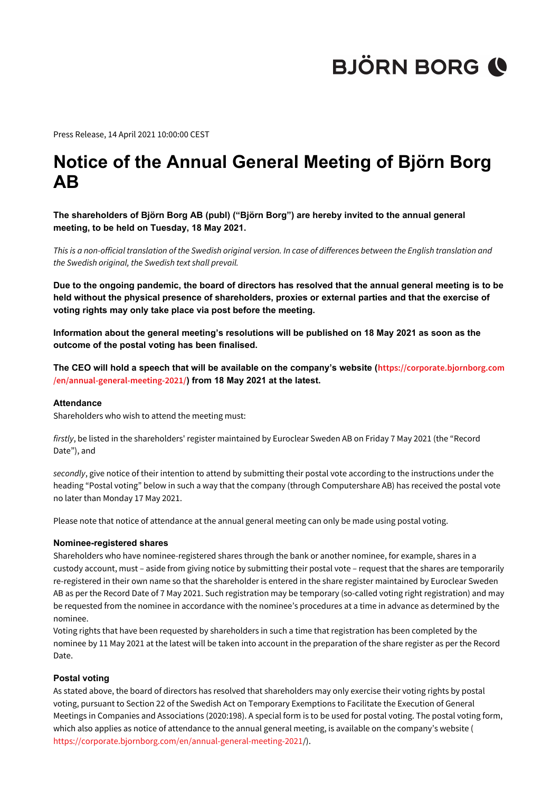Press Release, 14 April 2021 10:00:00 CEST

### **Notice of the Annual General Meeting of Björn Borg AB**

**The shareholders of Björn Borg AB (publ) ("Björn Borg") are hereby invited to the annual general meeting, to be held on Tuesday, 18 May 2021.**

*This is a non-official translation of the Swedish original version. In case of differences between the English translation and the Swedish original, the Swedish text shall prevail.*

**Due to the ongoing pandemic, the board of directors has resolved that the annual general meeting is to be held without the physical presence of shareholders, proxies or external parties and that the exercise of voting rights may only take place via post before the meeting.**

**Information about the general meeting's resolutions will be published on 18 May 2021 as soon as the outcome of the postal voting has been finalised.**

**The CEO will hold a speech that will be available on the company's website ([https://corporate.bjornborg.com](https://corporate.bjornborg.com/en/annual-general-meeting-2021/) [/en/annual-general-meeting-2021/](https://corporate.bjornborg.com/en/annual-general-meeting-2021/)) from 18 May 2021 at the latest.**

#### **Attendance**

Shareholders who wish to attend the meeting must:

*firstly*, be listed in the shareholders' register maintained by Euroclear Sweden AB on Friday 7 May 2021 (the "Record Date"), and

*secondly*, give notice of their intention to attend by submitting their postal vote according to the instructions under the heading "Postal voting" below in such a way that the company (through Computershare AB) has received the postal vote no later than Monday 17 May 2021.

Please note that notice of attendance at the annual general meeting can only be made using postal voting.

#### **Nominee-registered shares**

Shareholders who have nominee-registered shares through the bank or another nominee, for example, shares in a custody account, must – aside from giving notice by submitting their postal vote – request that the shares are temporarily re-registered in their own name so that the shareholder is entered in the share register maintained by Euroclear Sweden AB as per the Record Date of 7 May 2021. Such registration may be temporary (so-called voting right registration) and may be requested from the nominee in accordance with the nominee's procedures at a time in advance as determined by the nominee.

Voting rights that have been requested by shareholders in such a time that registration has been completed by the nominee by 11 May 2021 at the latest will be taken into account in the preparation of the share register as per the Record Date.

### **Postal voting**

As stated above, the board of directors has resolved that shareholders may only exercise their voting rights by postal voting, pursuant to Section 22 of the Swedish Act on Temporary Exemptions to Facilitate the Execution of General Meetings in Companies and Associations (2020:198). A special form is to be used for postal voting. The postal voting form, which also applies as notice of attendance to the annual general meeting, is available on the company's website ( <https://corporate.bjornborg.com/en/annual-general-meeting-2021>/).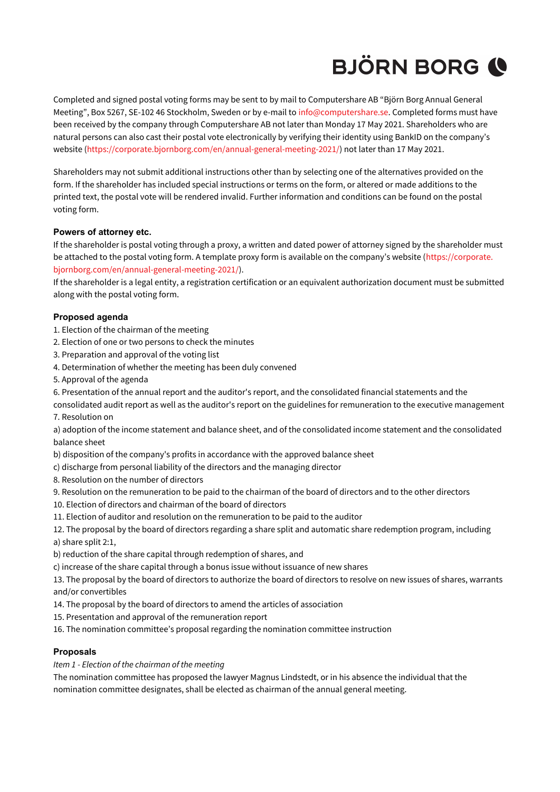Completed and signed postal voting forms may be sent to by mail to Computershare AB "Björn Borg Annual General Meeting", Box 5267, SE-102 46 Stockholm, Sweden or by e-mail to info@computershare.se. Completed forms must have been received by the company through Computershare AB not later than Monday 17 May 2021. Shareholders who are natural persons can also cast their postal vote electronically by verifying their identity using BankID on the company's website [\(https://corporate.bjornborg.com/en/annual-general-meeting-2021/](https://corporate.bjornborg.com/en/annual-general-meeting-2021/)) not later than 17 May 2021.

Shareholders may not submit additional instructions other than by selecting one of the alternatives provided on the form. If the shareholder has included special instructions or terms on the form, or altered or made additions to the printed text, the postal vote will be rendered invalid. Further information and conditions can be found on the postal voting form.

### **Powers of attorney etc.**

If the shareholder is postal voting through a proxy, a written and dated power of attorney signed by the shareholder must be attached to the postal voting form. A template proxy form is available on the company's website ([https://corporate.](https://corporate.bjornborg.com/en/annual-general-meeting-2021/) [bjornborg.com/en/annual-general-meeting-2021/](https://corporate.bjornborg.com/en/annual-general-meeting-2021/)).

If the shareholder is a legal entity, a registration certification or an equivalent authorization document must be submitted along with the postal voting form.

### **Proposed agenda**

- 1. Election of the chairman of the meeting
- 2. Election of one or two persons to check the minutes
- 3. Preparation and approval of the voting list
- 4. Determination of whether the meeting has been duly convened
- 5. Approval of the agenda
- 6. Presentation of the annual report and the auditor's report, and the consolidated financial statements and the
- consolidated audit report as well as the auditor's report on the guidelines for remuneration to the executive management 7. Resolution on

a) adoption of the income statement and balance sheet, and of the consolidated income statement and the consolidated balance sheet

- b) disposition of the company's profits in accordance with the approved balance sheet
- c) discharge from personal liability of the directors and the managing director
- 8. Resolution on the number of directors
- 9. Resolution on the remuneration to be paid to the chairman of the board of directors and to the other directors
- 10. Election of directors and chairman of the board of directors
- 11. Election of auditor and resolution on the remuneration to be paid to the auditor
- 12. The proposal by the board of directors regarding a share split and automatic share redemption program, including a) share split 2:1,
- b) reduction of the share capital through redemption of shares, and
- c) increase of the share capital through a bonus issue without issuance of new shares
- 13. The proposal by the board of directors to authorize the board of directors to resolve on new issues of shares, warrants and/or convertibles
- 14. The proposal by the board of directors to amend the articles of association
- 15. Presentation and approval of the remuneration report
- 16. The nomination committee's proposal regarding the nomination committee instruction

### **Proposals**

*Item 1 - Election of the chairman of the meeting*

The nomination committee has proposed the lawyer Magnus Lindstedt, or in his absence the individual that the nomination committee designates, shall be elected as chairman of the annual general meeting.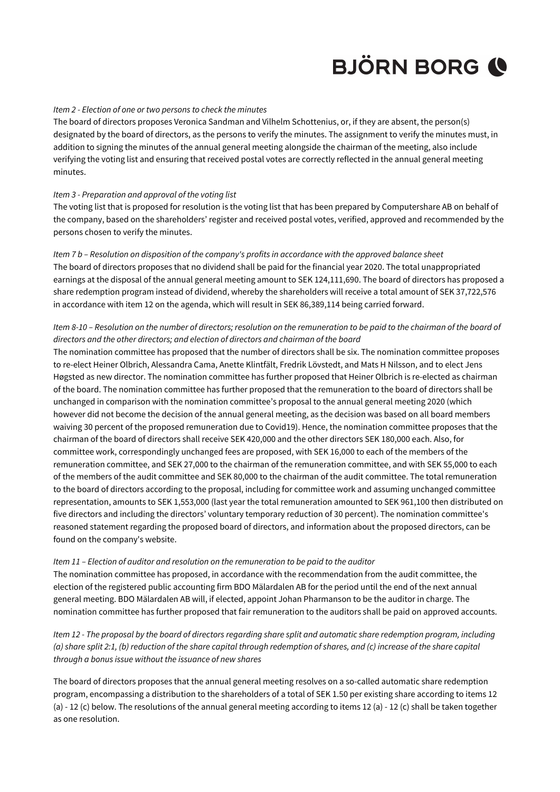### *Item 2 - Election of one or two persons to check the minutes*

The board of directors proposes Veronica Sandman and Vilhelm Schottenius, or, if they are absent, the person(s) designated by the board of directors, as the persons to verify the minutes. The assignment to verify the minutes must, in addition to signing the minutes of the annual general meeting alongside the chairman of the meeting, also include verifying the voting list and ensuring that received postal votes are correctly reflected in the annual general meeting minutes.

### *Item 3 - Preparation and approval of the voting list*

The voting list that is proposed for resolution is the voting list that has been prepared by Computershare AB on behalf of the company, based on the shareholders' register and received postal votes, verified, approved and recommended by the persons chosen to verify the minutes.

### *Item 7 b – Resolution on disposition of the company's profits in accordance with the approved balance sheet*

The board of directors proposes that no dividend shall be paid for the financial year 2020. The total unappropriated earnings at the disposal of the annual general meeting amount to SEK 124,111,690. The board of directors has proposed a share redemption program instead of dividend, whereby the shareholders will receive a total amount of SEK 37,722,576 in accordance with item 12 on the agenda, which will result in SEK 86,389,114 being carried forward.

### *Item 8-10 – Resolution on the number of directors; resolution on the remuneration to be paid to the chairman of the board of directors and the other directors; and election of directors and chairman of the board*

The nomination committee has proposed that the number of directors shall be six. The nomination committee proposes to re-elect Heiner Olbrich, Alessandra Cama, Anette Klintfält, Fredrik Lövstedt, and Mats H Nilsson, and to elect Jens Høgsted as new director. The nomination committee has further proposed that Heiner Olbrich is re-elected as chairman of the board. The nomination committee has further proposed that the remuneration to the board of directors shall be unchanged in comparison with the nomination committee's proposal to the annual general meeting 2020 (which however did not become the decision of the annual general meeting, as the decision was based on all board members waiving 30 percent of the proposed remuneration due to Covid19). Hence, the nomination committee proposes that the chairman of the board of directors shall receive SEK 420,000 and the other directors SEK 180,000 each. Also, for committee work, correspondingly unchanged fees are proposed, with SEK 16,000 to each of the members of the remuneration committee, and SEK 27,000 to the chairman of the remuneration committee, and with SEK 55,000 to each of the members of the audit committee and SEK 80,000 to the chairman of the audit committee. The total remuneration to the board of directors according to the proposal, including for committee work and assuming unchanged committee representation, amounts to SEK 1,553,000 (last year the total remuneration amounted to SEK 961,100 then distributed on five directors and including the directors' voluntary temporary reduction of 30 percent). The nomination committee's reasoned statement regarding the proposed board of directors, and information about the proposed directors, can be found on the company's website.

#### *Item 11 – Election of auditor and resolution on the remuneration to be paid to the auditor*

The nomination committee has proposed, in accordance with the recommendation from the audit committee, the election of the registered public accounting firm BDO Mälardalen AB for the period until the end of the next annual general meeting. BDO Mälardalen AB will, if elected, appoint Johan Pharmanson to be the auditor in charge. The nomination committee has further proposed that fair remuneration to the auditors shall be paid on approved accounts.

*Item 12 - The proposal by the board of directors regarding share split and automatic share redemption program, including (a) share split 2:1, (b) reduction of the share capital through redemption of shares, and (c) increase of the share capital through a bonus issue without the issuance of new shares*

The board of directors proposes that the annual general meeting resolves on a so-called automatic share redemption program, encompassing a distribution to the shareholders of a total of SEK 1.50 per existing share according to items 12 (a) - 12 (c) below. The resolutions of the annual general meeting according to items 12 (a) - 12 (c) shall be taken together as one resolution.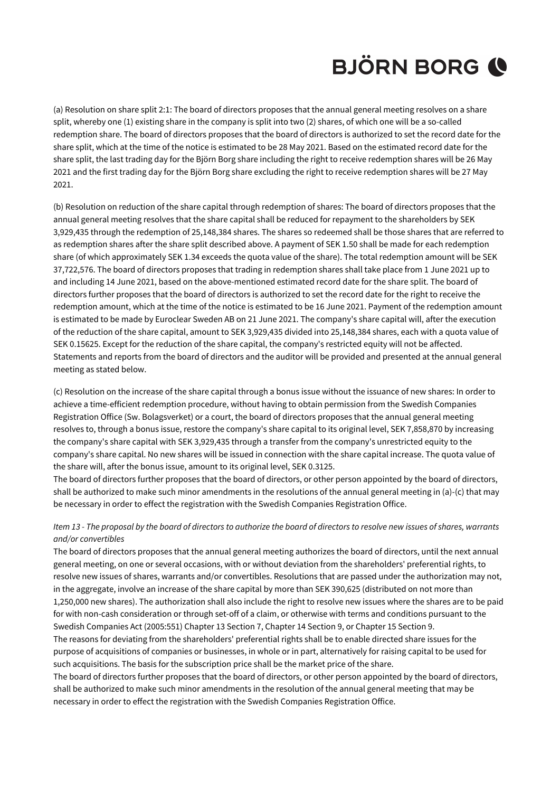(a) Resolution on share split 2:1: The board of directors proposes that the annual general meeting resolves on a share split, whereby one (1) existing share in the company is split into two (2) shares, of which one will be a so-called redemption share. The board of directors proposes that the board of directors is authorized to set the record date for the share split, which at the time of the notice is estimated to be 28 May 2021. Based on the estimated record date for the share split, the last trading day for the Björn Borg share including the right to receive redemption shares will be 26 May 2021 and the first trading day for the Björn Borg share excluding the right to receive redemption shares will be 27 May 2021.

(b) Resolution on reduction of the share capital through redemption of shares: The board of directors proposes that the annual general meeting resolves that the share capital shall be reduced for repayment to the shareholders by SEK 3,929,435 through the redemption of 25,148,384 shares. The shares so redeemed shall be those shares that are referred to as redemption shares after the share split described above. A payment of SEK 1.50 shall be made for each redemption share (of which approximately SEK 1.34 exceeds the quota value of the share). The total redemption amount will be SEK 37,722,576. The board of directors proposes that trading in redemption shares shall take place from 1 June 2021 up to and including 14 June 2021, based on the above-mentioned estimated record date for the share split. The board of directors further proposes that the board of directors is authorized to set the record date for the right to receive the redemption amount, which at the time of the notice is estimated to be 16 June 2021. Payment of the redemption amount is estimated to be made by Euroclear Sweden AB on 21 June 2021. The company's share capital will, after the execution of the reduction of the share capital, amount to SEK 3,929,435 divided into 25,148,384 shares, each with a quota value of SEK 0.15625. Except for the reduction of the share capital, the company's restricted equity will not be affected. Statements and reports from the board of directors and the auditor will be provided and presented at the annual general meeting as stated below.

(c) Resolution on the increase of the share capital through a bonus issue without the issuance of new shares: In order to achieve a time-efficient redemption procedure, without having to obtain permission from the Swedish Companies Registration Office (Sw. Bolagsverket) or a court, the board of directors proposes that the annual general meeting resolves to, through a bonus issue, restore the company's share capital to its original level, SEK 7,858,870 by increasing the company's share capital with SEK 3,929,435 through a transfer from the company's unrestricted equity to the company's share capital. No new shares will be issued in connection with the share capital increase. The quota value of the share will, after the bonus issue, amount to its original level, SEK 0.3125.

The board of directors further proposes that the board of directors, or other person appointed by the board of directors, shall be authorized to make such minor amendments in the resolutions of the annual general meeting in (a)-(c) that may be necessary in order to effect the registration with the Swedish Companies Registration Office.

### *Item 13 - The proposal by the board of directors to authorize the board of directors to resolve new issues of shares, warrants and/or convertibles*

The board of directors proposes that the annual general meeting authorizes the board of directors, until the next annual general meeting, on one or several occasions, with or without deviation from the shareholders' preferential rights, to resolve new issues of shares, warrants and/or convertibles. Resolutions that are passed under the authorization may not, in the aggregate, involve an increase of the share capital by more than SEK 390,625 (distributed on not more than 1,250,000 new shares). The authorization shall also include the right to resolve new issues where the shares are to be paid for with non-cash consideration or through set-off of a claim, or otherwise with terms and conditions pursuant to the Swedish Companies Act (2005:551) Chapter 13 Section 7, Chapter 14 Section 9, or Chapter 15 Section 9.

The reasons for deviating from the shareholders' preferential rights shall be to enable directed share issues for the purpose of acquisitions of companies or businesses, in whole or in part, alternatively for raising capital to be used for such acquisitions. The basis for the subscription price shall be the market price of the share.

The board of directors further proposes that the board of directors, or other person appointed by the board of directors, shall be authorized to make such minor amendments in the resolution of the annual general meeting that may be necessary in order to effect the registration with the Swedish Companies Registration Office.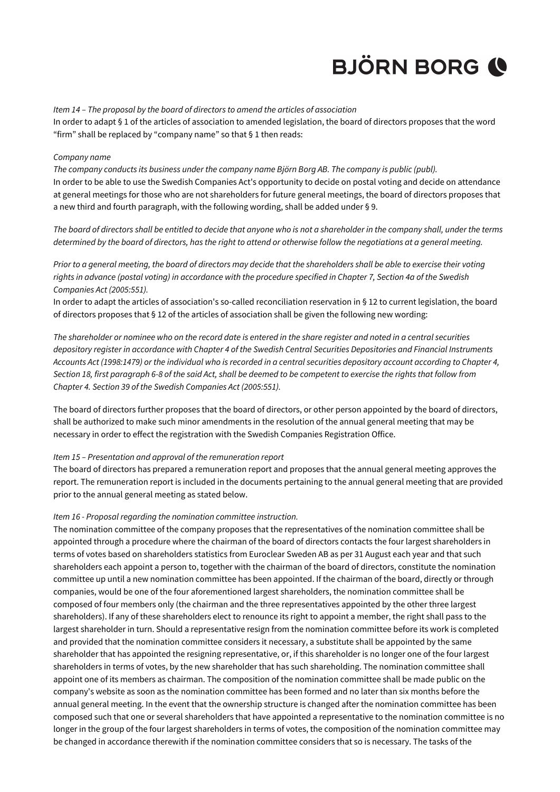### *Item 14 – The proposal by the board of directors to amend the articles of association*

In order to adapt § 1 of the articles of association to amended legislation, the board of directors proposes that the word "firm" shall be replaced by "company name" so that § 1 then reads:

#### *Company name*

*The company conducts its business under the company name Björn Borg AB. The company is public (publ).* In order to be able to use the Swedish Companies Act's opportunity to decide on postal voting and decide on attendance at general meetings for those who are not shareholders for future general meetings, the board of directors proposes that a new third and fourth paragraph, with the following wording, shall be added under § 9.

*The board of directors shall be entitled to decide that anyone who is not a shareholder in the company shall, under the terms determined by the board of directors, has the right to attend or otherwise follow the negotiations at a general meeting.*

*Prior to a general meeting, the board of directors may decide that the shareholders shall be able to exercise their voting rights in advance (postal voting) in accordance with the procedure specified in Chapter 7, Section 4a of the Swedish Companies Act (2005:551).*

In order to adapt the articles of association's so-called reconciliation reservation in § 12 to current legislation, the board of directors proposes that § 12 of the articles of association shall be given the following new wording:

*The shareholder or nominee who on the record date is entered in the share register and noted in a central securities depository register in accordance with Chapter 4 of the Swedish Central Securities Depositories and Financial Instruments Accounts Act (1998:1479) or the individual who is recorded in a central securities depository account according to Chapter 4, Section 18, first paragraph 6-8 of the said Act, shall be deemed to be competent to exercise the rights that follow from Chapter 4. Section 39 of the Swedish Companies Act (2005:551).*

The board of directors further proposes that the board of directors, or other person appointed by the board of directors, shall be authorized to make such minor amendments in the resolution of the annual general meeting that may be necessary in order to effect the registration with the Swedish Companies Registration Office.

### *Item 15 – Presentation and approval of the remuneration report*

The board of directors has prepared a remuneration report and proposes that the annual general meeting approves the report. The remuneration report is included in the documents pertaining to the annual general meeting that are provided prior to the annual general meeting as stated below.

#### *Item 16 - Proposal regarding the nomination committee instruction.*

The nomination committee of the company proposes that the representatives of the nomination committee shall be appointed through a procedure where the chairman of the board of directors contacts the four largest shareholders in terms of votes based on shareholders statistics from Euroclear Sweden AB as per 31 August each year and that such shareholders each appoint a person to, together with the chairman of the board of directors, constitute the nomination committee up until a new nomination committee has been appointed. If the chairman of the board, directly or through companies, would be one of the four aforementioned largest shareholders, the nomination committee shall be composed of four members only (the chairman and the three representatives appointed by the other three largest shareholders). If any of these shareholders elect to renounce its right to appoint a member, the right shall pass to the largest shareholder in turn. Should a representative resign from the nomination committee before its work is completed and provided that the nomination committee considers it necessary, a substitute shall be appointed by the same shareholder that has appointed the resigning representative, or, if this shareholder is no longer one of the four largest shareholders in terms of votes, by the new shareholder that has such shareholding. The nomination committee shall appoint one of its members as chairman. The composition of the nomination committee shall be made public on the company's website as soon as the nomination committee has been formed and no later than six months before the annual general meeting. In the event that the ownership structure is changed after the nomination committee has been composed such that one or several shareholders that have appointed a representative to the nomination committee is no longer in the group of the four largest shareholders in terms of votes, the composition of the nomination committee may be changed in accordance therewith if the nomination committee considers that so is necessary. The tasks of the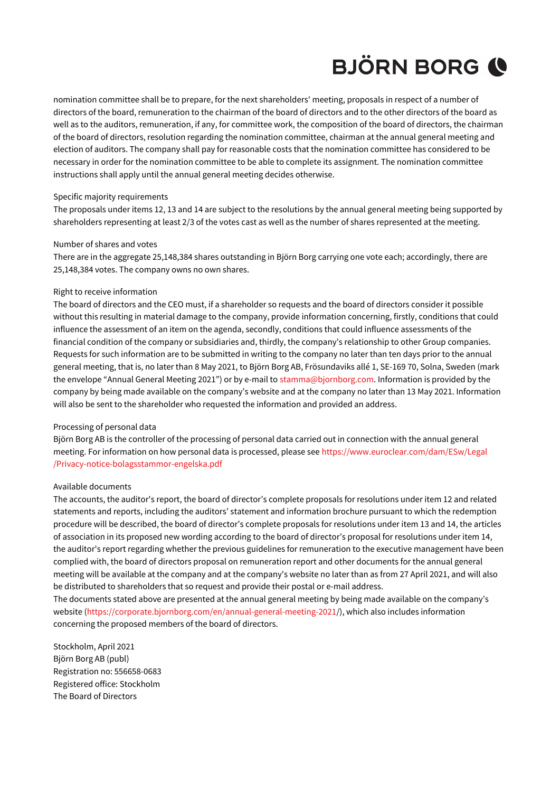nomination committee shall be to prepare, for the next shareholders' meeting, proposals in respect of a number of directors of the board, remuneration to the chairman of the board of directors and to the other directors of the board as well as to the auditors, remuneration, if any, for committee work, the composition of the board of directors, the chairman of the board of directors, resolution regarding the nomination committee, chairman at the annual general meeting and election of auditors. The company shall pay for reasonable costs that the nomination committee has considered to be necessary in order for the nomination committee to be able to complete its assignment. The nomination committee instructions shall apply until the annual general meeting decides otherwise.

### Specific majority requirements

The proposals under items 12, 13 and 14 are subject to the resolutions by the annual general meeting being supported by shareholders representing at least 2/3 of the votes cast as well as the number of shares represented at the meeting.

### Number of shares and votes

There are in the aggregate 25,148,384 shares outstanding in Björn Borg carrying one vote each; accordingly, there are 25,148,384 votes. The company owns no own shares.

### Right to receive information

The board of directors and the CEO must, if a shareholder so requests and the board of directors consider it possible without this resulting in material damage to the company, provide information concerning, firstly, conditions that could influence the assessment of an item on the agenda, secondly, conditions that could influence assessments of the financial condition of the company or subsidiaries and, thirdly, the company's relationship to other Group companies. Requests for such information are to be submitted in writing to the company no later than ten days prior to the annual general meeting, that is, no later than 8 May 2021, to Björn Borg AB, Frösundaviks allé 1, SE-169 70, Solna, Sweden (mark the envelope "Annual General Meeting 2021") or by e-mail to stamma@bjornborg.com. Information is provided by the company by being made available on the company's website and at the company no later than 13 May 2021. Information will also be sent to the shareholder who requested the information and provided an address.

### Processing of personal data

Björn Borg AB is the controller of the processing of personal data carried out in connection with the annual general meeting. For information on how personal data is processed, please see [https://www.euroclear.com/dam/ESw/Legal](https://www.euroclear.com/dam/ESw/Legal/Privacy-notice-bolagsstammor-engelska.pdf) [/Privacy-notice-bolagsstammor-engelska.pdf](https://www.euroclear.com/dam/ESw/Legal/Privacy-notice-bolagsstammor-engelska.pdf)

#### Available documents

The accounts, the auditor's report, the board of director's complete proposals for resolutions under item 12 and related statements and reports, including the auditors' statement and information brochure pursuant to which the redemption procedure will be described, the board of director's complete proposals for resolutions under item 13 and 14, the articles of association in its proposed new wording according to the board of director's proposal for resolutions under item 14, the auditor's report regarding whether the previous guidelines for remuneration to the executive management have been complied with, the board of directors proposal on remuneration report and other documents for the annual general meeting will be available at the company and at the company's website no later than as from 27 April 2021, and will also be distributed to shareholders that so request and provide their postal or e-mail address.

The documents stated above are presented at the annual general meeting by being made available on the company's website [\(https://corporate.bjornborg.com/en/annual-general-meeting-2021/](https://corporate.bjornborg.com/en/annual-general-meeting-2021)), which also includes information concerning the proposed members of the board of directors.

Stockholm, April 2021 Björn Borg AB (publ) Registration no: 556658-0683 Registered office: Stockholm The Board of Directors